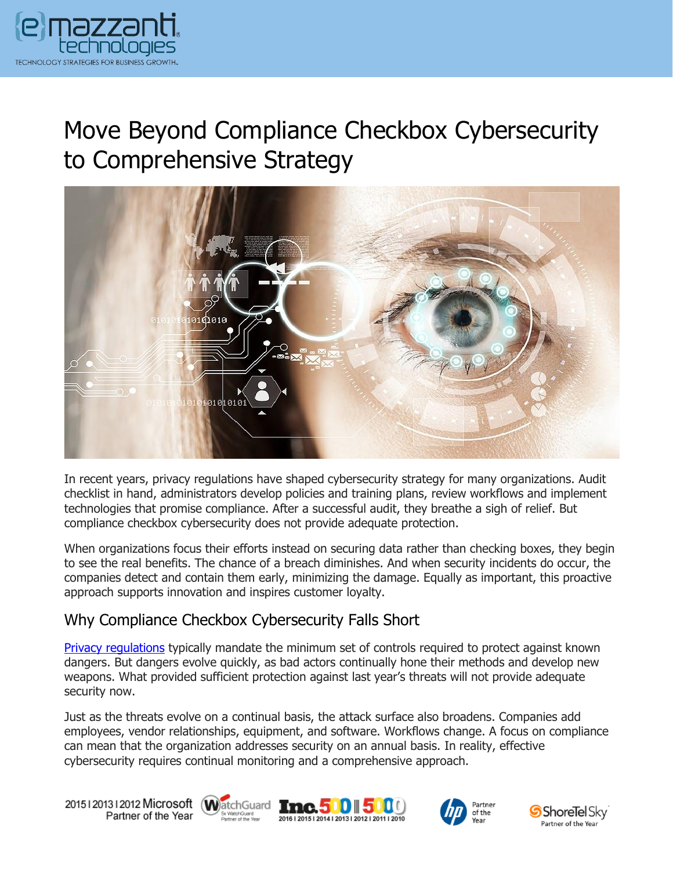

# Move Beyond Compliance Checkbox Cybersecurity to Comprehensive Strategy



In recent years, privacy regulations have shaped cybersecurity strategy for many organizations. Audit checklist in hand, administrators develop policies and training plans, review workflows and implement technologies that promise compliance. After a successful audit, they breathe a sigh of relief. But compliance checkbox cybersecurity does not provide adequate protection.

When organizations focus their efforts instead on securing data rather than checking boxes, they begin to see the real benefits. The chance of a breach diminishes. And when security incidents do occur, the companies detect and contain them early, minimizing the damage. Equally as important, this proactive approach supports innovation and inspires customer loyalty.

### Why Compliance Checkbox Cybersecurity Falls Short

[Privacy regulations](https://messagingarchitects.com/data-protection-legislation-outlook/) typically mandate the minimum set of controls required to protect against known dangers. But dangers evolve quickly, as bad actors continually hone their methods and develop new weapons. What provided sufficient protection against last year's threats will not provide adequate security now.

Just as the threats evolve on a continual basis, the attack surface also broadens. Companies add employees, vendor relationships, equipment, and software. Workflows change. A focus on compliance can mean that the organization addresses security on an annual basis. In reality, effective cybersecurity requires continual monitoring and a comprehensive approach.

20151201312012 Microsoft WatchGuard Inc. 500 5 Partner of the Year







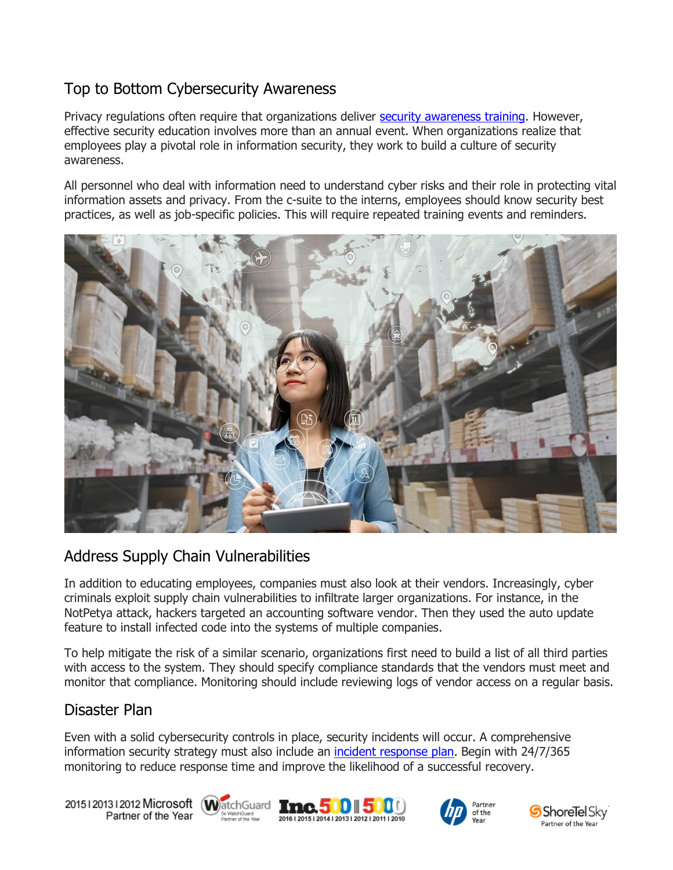# Top to Bottom Cybersecurity Awareness

Privacy regulations often require that organizations deliver [security awareness training.](https://www.emazzanti.net/security-awareness-training/) However, effective security education involves more than an annual event. When organizations realize that employees play a pivotal role in information security, they work to build a culture of security awareness.

All personnel who deal with information need to understand cyber risks and their role in protecting vital information assets and privacy. From the c-suite to the interns, employees should know security best practices, as well as job-specific policies. This will require repeated training events and reminders.



## Address Supply Chain Vulnerabilities

In addition to educating employees, companies must also look at their vendors. Increasingly, cyber criminals exploit supply chain vulnerabilities to infiltrate larger organizations. For instance, in the NotPetya attack, hackers targeted an accounting software vendor. Then they used the auto update feature to install infected code into the systems of multiple companies.

To help mitigate the risk of a similar scenario, organizations first need to build a list of all third parties with access to the system. They should specify compliance standards that the vendors must meet and monitor that compliance. Monitoring should include reviewing logs of vendor access on a regular basis.

#### Disaster Plan

Even with a solid cybersecurity controls in place, security incidents will occur. A comprehensive information security strategy must also include an [incident response plan.](https://www.emazzanti.net/incident-response-plan/) Begin with 24/7/365 monitoring to reduce response time and improve the likelihood of a successful recovery.

20151201312012 Microsoft WatchGuard Tmc. 500 500 Partner of the Year